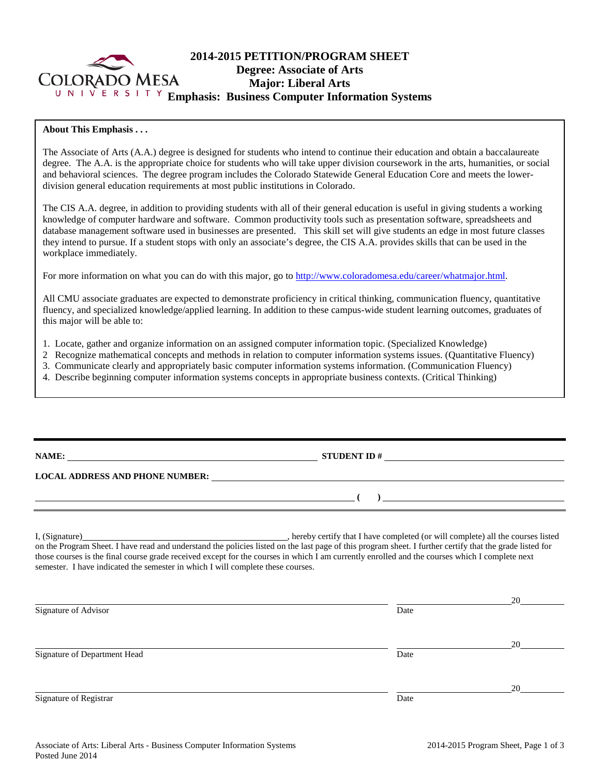

# **2014-2015 PETITION/PROGRAM SHEET Degree: Associate of Arts Major: Liberal Arts Emphasis: Business Computer Information Systems**

# **About This Emphasis . . .**

The Associate of Arts (A.A.) degree is designed for students who intend to continue their education and obtain a baccalaureate degree. The A.A. is the appropriate choice for students who will take upper division coursework in the arts, humanities, or social and behavioral sciences. The degree program includes the Colorado Statewide General Education Core and meets the lowerdivision general education requirements at most public institutions in Colorado.

The CIS A.A. degree, in addition to providing students with all of their general education is useful in giving students a working knowledge of computer hardware and software. Common productivity tools such as presentation software, spreadsheets and database management software used in businesses are presented. This skill set will give students an edge in most future classes they intend to pursue. If a student stops with only an associate's degree, the CIS A.A. provides skills that can be used in the workplace immediately.

For more information on what you can do with this major, go to [http://www.coloradomesa.edu/career/whatmajor.html.](http://www.coloradomesa.edu/career/whatmajor.html)

All CMU associate graduates are expected to demonstrate proficiency in critical thinking, communication fluency, quantitative fluency, and specialized knowledge/applied learning. In addition to these campus-wide student learning outcomes, graduates of this major will be able to:

- 1. Locate, gather and organize information on an assigned computer information topic. (Specialized Knowledge)
- 2 Recognize mathematical concepts and methods in relation to computer information systems issues. (Quantitative Fluency)
- 3. Communicate clearly and appropriately basic computer information systems information. (Communication Fluency)
- 4. Describe beginning computer information systems concepts in appropriate business contexts. (Critical Thinking)

| NAME: |                                                                                                                                                                                                                                                                                                                                      |  |
|-------|--------------------------------------------------------------------------------------------------------------------------------------------------------------------------------------------------------------------------------------------------------------------------------------------------------------------------------------|--|
|       |                                                                                                                                                                                                                                                                                                                                      |  |
|       | $\left(\begin{array}{c}\right)$                                                                                                                                                                                                                                                                                                      |  |
|       |                                                                                                                                                                                                                                                                                                                                      |  |
|       | I, (Signature) hereby certify that I have completed (or will complete) all the courses listed<br>$\overline{a}$ are the state of the state and the state are the state of the state of the state of the state of the state of the state of the state of the state of the state of the state of the state of the state of the state o |  |

on the Program Sheet. I have read and understand the policies listed on the last page of this program sheet. I further certify that the grade listed for those courses is the final course grade received except for the courses in which I am currently enrolled and the courses which I complete next semester. I have indicated the semester in which I will complete these courses.

|                              |      | 20 |
|------------------------------|------|----|
| Signature of Advisor         | Date |    |
|                              |      | 20 |
| Signature of Department Head | Date |    |
|                              |      | 20 |
| Signature of Registrar       | Date |    |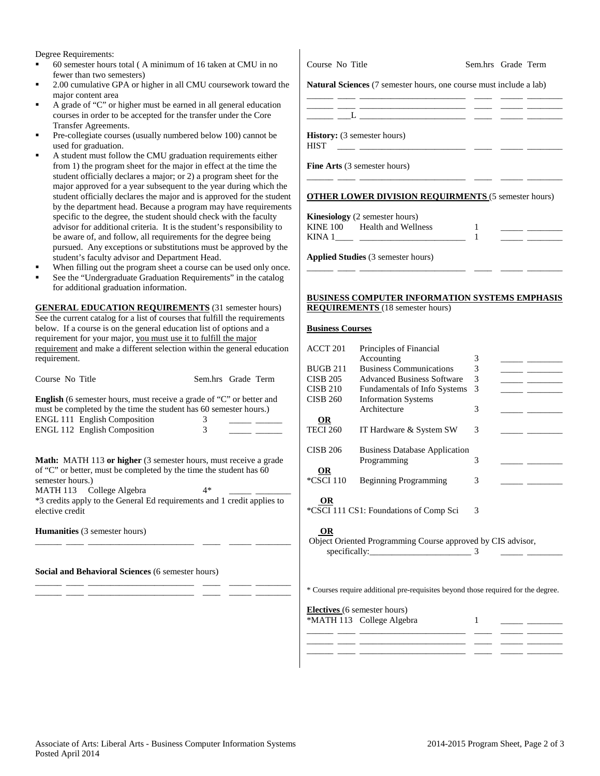Degree Requirements:

- 60 semester hours total ( A minimum of 16 taken at CMU in no fewer than two semesters)
- 2.00 cumulative GPA or higher in all CMU coursework toward the major content area
- A grade of "C" or higher must be earned in all general education courses in order to be accepted for the transfer under the Core Transfer Agreements.
- Pre-collegiate courses (usually numbered below 100) cannot be used for graduation.
- A student must follow the CMU graduation requirements either from 1) the program sheet for the major in effect at the time the student officially declares a major; or 2) a program sheet for the major approved for a year subsequent to the year during which the student officially declares the major and is approved for the student by the department head. Because a program may have requirements specific to the degree, the student should check with the faculty advisor for additional criteria. It is the student's responsibility to be aware of, and follow, all requirements for the degree being pursued. Any exceptions or substitutions must be approved by the student's faculty advisor and Department Head.
- When filling out the program sheet a course can be used only once.
- See the "Undergraduate Graduation Requirements" in the catalog for additional graduation information.

**GENERAL EDUCATION REQUIREMENTS** (31 semester hours) See the current catalog for a list of courses that fulfill the requirements below. If a course is on the general education list of options and a requirement for your major, you must use it to fulfill the major requirement and make a different selection within the general education requirement.

| Course No Title                                                                                                                                                                                                                                                                             | Sem.hrs Grade Term |  |  |  |  |
|---------------------------------------------------------------------------------------------------------------------------------------------------------------------------------------------------------------------------------------------------------------------------------------------|--------------------|--|--|--|--|
| <b>English</b> (6 semester hours, must receive a grade of "C" or better and<br>must be completed by the time the student has 60 semester hours.)<br><b>ENGL 111 English Composition</b><br>ENGL 112 English Composition                                                                     | 3<br>3             |  |  |  |  |
| <b>Math:</b> MATH 113 or higher (3 semester hours, must receive a grade<br>of "C" or better, must be completed by the time the student has 60<br>semester hours.)<br>MATH 113 College Algebra<br>*3 credits apply to the General Ed requirements and 1 credit applies to<br>elective credit | $4*$               |  |  |  |  |
| <b>Humanities</b> (3 semester hours)                                                                                                                                                                                                                                                        |                    |  |  |  |  |
|                                                                                                                                                                                                                                                                                             |                    |  |  |  |  |

\_\_\_\_\_\_ \_\_\_\_ \_\_\_\_\_\_\_\_\_\_\_\_\_\_\_\_\_\_\_\_\_\_\_\_ \_\_\_\_ \_\_\_\_\_ \_\_\_\_\_\_\_\_ \_\_\_\_\_\_ \_\_\_\_ \_\_\_\_\_\_\_\_\_\_\_\_\_\_\_\_\_\_\_\_\_\_\_\_ \_\_\_\_ \_\_\_\_\_ \_\_\_\_\_\_\_\_

**Social and Behavioral Sciences** (6 semester hours)

Course No Title Sem.hrs Grade Term

**Natural Sciences** (7 semester hours, one course must include a lab)

\_\_\_\_\_\_ \_\_\_\_ \_\_\_\_\_\_\_\_\_\_\_\_\_\_\_\_\_\_\_\_\_\_\_\_ \_\_\_\_ \_\_\_\_\_ \_\_\_\_\_\_\_\_

\_\_\_\_\_\_ \_\_\_\_ \_\_\_\_\_\_\_\_\_\_\_\_\_\_\_\_\_\_\_\_\_\_\_\_ \_\_\_\_ \_\_\_\_\_ \_\_\_\_\_\_\_\_  $\frac{1}{\sqrt{2}}$   $\frac{1}{\sqrt{2}}$   $\frac{1}{\sqrt{2}}$ 

**History:** (3 semester hours)

 $HIST \quad \_\_\_\_\_\_$ 

**Fine Arts** (3 semester hours)

#### **OTHER LOWER DIVISION REQUIRMENTS** (5 semester hours)

\_\_\_\_\_\_ \_\_\_\_ \_\_\_\_\_\_\_\_\_\_\_\_\_\_\_\_\_\_\_\_\_\_\_\_ \_\_\_\_ \_\_\_\_\_ \_\_\_\_\_\_\_\_

**Kinesiology** (2 semester hours) KINE 100 Health and Wellness 1<br>KINA 1 1 KINA 1\_\_\_\_ \_\_\_\_\_\_\_\_\_\_\_\_\_\_\_\_\_\_\_\_\_\_\_\_ 1 \_\_\_\_\_ \_\_\_\_\_\_\_\_

**Applied Studies** (3 semester hours)

#### **BUSINESS COMPUTER INFORMATION SYSTEMS EMPHASIS REQUIREMENTS** (18 semester hours)

#### **Business Courses**

| ACCT <sub>201</sub> | Principles of Financial                                     |   |  |
|---------------------|-------------------------------------------------------------|---|--|
|                     | Accounting                                                  | 3 |  |
| <b>BUGB 211</b>     | <b>Business Communications</b>                              | 3 |  |
| <b>CISB 205</b>     | <b>Advanced Business Software</b>                           | 3 |  |
| <b>CISB 210</b>     | <b>Fundamentals of Info Systems</b>                         | 3 |  |
| <b>CISB 260</b>     | <b>Information Systems</b>                                  |   |  |
|                     | Architecture                                                | 3 |  |
| <b>OR</b>           |                                                             |   |  |
| <b>TECI 260</b>     | IT Hardware & System SW                                     | 3 |  |
|                     |                                                             |   |  |
| <b>CISB 206</b>     | <b>Business Database Application</b>                        |   |  |
|                     | Programming                                                 | 3 |  |
| <b>OR</b>           |                                                             |   |  |
| *CSCI 110           | <b>Beginning Programming</b>                                | 3 |  |
|                     |                                                             |   |  |
| OR                  |                                                             |   |  |
|                     | *CSCI 111 CS1: Foundations of Comp Sci                      | 3 |  |
|                     |                                                             |   |  |
| <b>OR</b>           |                                                             |   |  |
|                     | Object Oriented Programming Course approved by CIS advisor, |   |  |
|                     |                                                             | 3 |  |
|                     |                                                             |   |  |
|                     |                                                             |   |  |

\* Courses require additional pre-requisites beyond those required for the degree.

\_\_\_\_\_\_ \_\_\_\_ \_\_\_\_\_\_\_\_\_\_\_\_\_\_\_\_\_\_\_\_\_\_\_\_ \_\_\_\_ \_\_\_\_\_ \_\_\_\_\_\_\_\_ \_\_\_\_\_\_ \_\_\_\_ \_\_\_\_\_\_\_\_\_\_\_\_\_\_\_\_\_\_\_\_\_\_\_\_ \_\_\_\_ \_\_\_\_\_ \_\_\_\_\_\_\_\_

**Electives** (6 semester hours)

 $*$ MATH 113 College Algebra  $1 \quad \underline{\quad}$ \_\_\_\_\_\_ \_\_\_\_ \_\_\_\_\_\_\_\_\_\_\_\_\_\_\_\_\_\_\_\_\_\_\_\_ \_\_\_\_ \_\_\_\_\_ \_\_\_\_\_\_\_\_